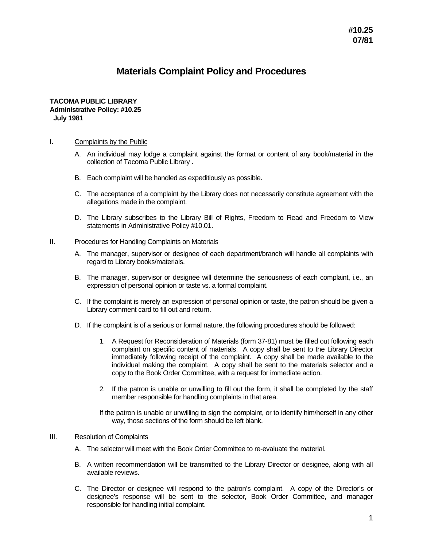# **Materials Complaint Policy and Procedures**

### **TACOMA PUBLIC LIBRARY Administrative Policy: #10.25 July 1981**

#### I. Complaints by the Public

- A. An individual may lodge a complaint against the format or content of any book/material in the collection of Tacoma Public Library .
- B. Each complaint will be handled as expeditiously as possible.
- C. The acceptance of a complaint by the Library does not necessarily constitute agreement with the allegations made in the complaint.
- D. The Library subscribes to the Library Bill of Rights, Freedom to Read and Freedom to View statements in Administrative Policy #10.01.

#### II. Procedures for Handling Complaints on Materials

- A. The manager, supervisor or designee of each department/branch will handle all complaints with regard to Library books/materials.
- B. The manager, supervisor or designee will determine the seriousness of each complaint, i.e., an expression of personal opinion or taste vs. a formal complaint.
- C. If the complaint is merely an expression of personal opinion or taste, the patron should be given a Library comment card to fill out and return.
- D. If the complaint is of a serious or formal nature, the following procedures should be followed:
	- 1. A Request for Reconsideration of Materials (form 37-81) must be filled out following each complaint on specific content of materials. A copy shall be sent to the Library Director immediately following receipt of the complaint. A copy shall be made available to the individual making the complaint. A copy shall be sent to the materials selector and a copy to the Book Order Committee, with a request for immediate action.
	- 2. If the patron is unable or unwilling to fill out the form, it shall be completed by the staff member responsible for handling complaints in that area.
	- If the patron is unable or unwilling to sign the complaint, or to identify him/herself in any other way, those sections of the form should be left blank.

## III. Resolution of Complaints

- A. The selector will meet with the Book Order Committee to re-evaluate the material.
- B. A written recommendation will be transmitted to the Library Director or designee, along with all available reviews.
- C. The Director or designee will respond to the patron's complaint. A copy of the Director's or designee's response will be sent to the selector, Book Order Committee, and manager responsible for handling initial complaint.